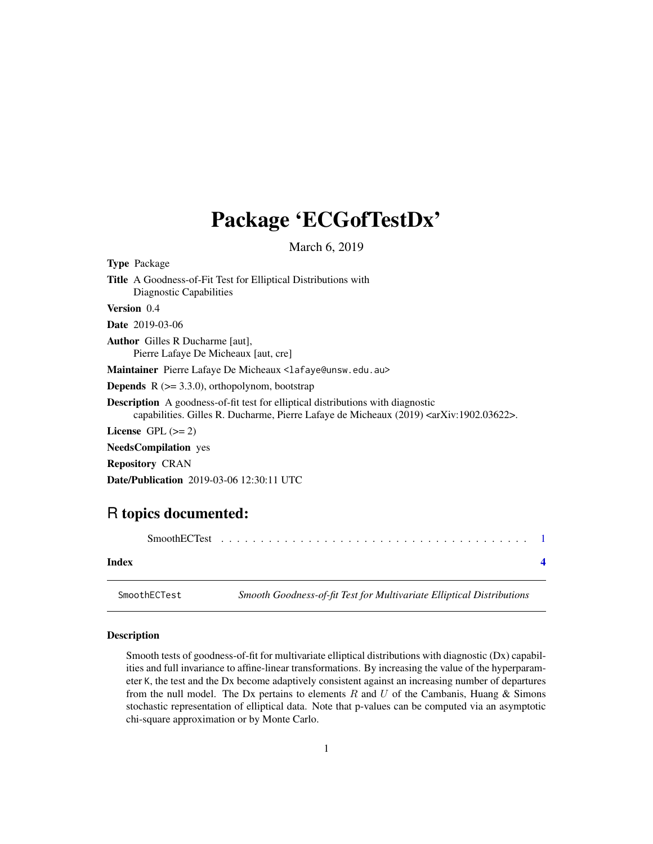## <span id="page-0-0"></span>Package 'ECGofTestDx'

March 6, 2019

| <b>Type</b> Package                                                                                                                                                                                 |
|-----------------------------------------------------------------------------------------------------------------------------------------------------------------------------------------------------|
| <b>Title</b> A Goodness-of-Fit Test for Elliptical Distributions with<br>Diagnostic Capabilities                                                                                                    |
| <b>Version</b> 0.4                                                                                                                                                                                  |
| <b>Date</b> 2019-03-06                                                                                                                                                                              |
| <b>Author</b> Gilles R Ducharme [aut],<br>Pierre Lafaye De Micheaux [aut, cre]                                                                                                                      |
| Maintainer Pierre Lafaye De Micheaux <lafaye@unsw.edu.au></lafaye@unsw.edu.au>                                                                                                                      |
| <b>Depends</b> $R$ ( $>= 3.3.0$ ), orthopolynom, bootstrap                                                                                                                                          |
| <b>Description</b> A goodness-of-fit test for elliptical distributions with diagnostic<br>capabilities. Gilles R. Ducharme, Pierre Lafaye de Micheaux (2019) <arxiv:1902.03622>.</arxiv:1902.03622> |
| License $GPL \, (= 2)$                                                                                                                                                                              |
| <b>NeedsCompilation</b> yes                                                                                                                                                                         |
| <b>Repository CRAN</b>                                                                                                                                                                              |
| <b>Date/Publication</b> 2019-03-06 12:30:11 UTC                                                                                                                                                     |
|                                                                                                                                                                                                     |

### R topics documented:

| Index |  |  |  |  |  |  |  |  |  |  |  |  |
|-------|--|--|--|--|--|--|--|--|--|--|--|--|
|       |  |  |  |  |  |  |  |  |  |  |  |  |

SmoothECTest *Smooth Goodness-of-fit Test for Multivariate Elliptical Distributions*

#### Description

Smooth tests of goodness-of-fit for multivariate elliptical distributions with diagnostic (Dx) capabilities and full invariance to affine-linear transformations. By increasing the value of the hyperparameter K, the test and the Dx become adaptively consistent against an increasing number of departures from the null model. The Dx pertains to elements  $R$  and  $U$  of the Cambanis, Huang & Simons stochastic representation of elliptical data. Note that p-values can be computed via an asymptotic chi-square approximation or by Monte Carlo.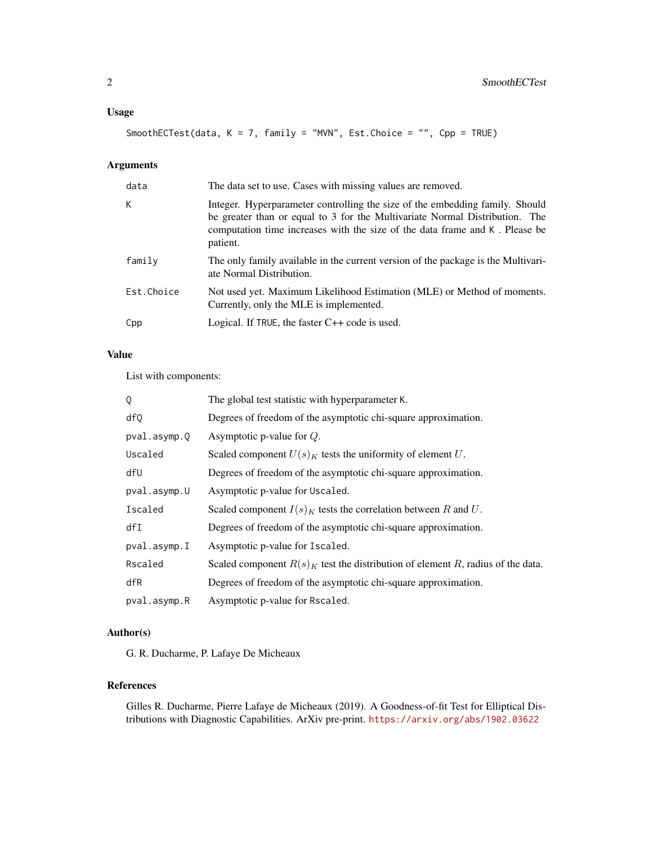SmoothECTest(data, K = 7, family = "MVN", Est.Choice = "", Cpp = TRUE)

#### Arguments

| data       | The data set to use. Cases with missing values are removed.                                                                                                                                                                                            |
|------------|--------------------------------------------------------------------------------------------------------------------------------------------------------------------------------------------------------------------------------------------------------|
| К          | Integer. Hyperparameter controlling the size of the embedding family. Should<br>be greater than or equal to 3 for the Multivariate Normal Distribution. The<br>computation time increases with the size of the data frame and K. Please be<br>patient. |
| family     | The only family available in the current version of the package is the Multivari-<br>ate Normal Distribution.                                                                                                                                          |
| Est.Choice | Not used yet. Maximum Likelihood Estimation (MLE) or Method of moments.<br>Currently, only the MLE is implemented.                                                                                                                                     |
| Cpp        | Logical. If TRUE, the faster $C++$ code is used.                                                                                                                                                                                                       |

#### Value

List with components:

| Q            | The global test statistic with hyperparameter K.                                 |
|--------------|----------------------------------------------------------------------------------|
| df0          | Degrees of freedom of the asymptotic chi-square approximation.                   |
| pval.asymp.Q | Asymptotic p-value for $Q$ .                                                     |
| Uscaled      | Scaled component $U(s)K$ tests the uniformity of element U.                      |
| dfU          | Degrees of freedom of the asymptotic chi-square approximation.                   |
| pval.asymp.U | Asymptotic p-value for Uscaled.                                                  |
| Iscaled      | Scaled component $I(s)_K$ tests the correlation between R and U.                 |
| dfI          | Degrees of freedom of the asymptotic chi-square approximation.                   |
| pval.asymp.I | Asymptotic p-value for Iscaled.                                                  |
| Rscaled      | Scaled component $R(s)K$ test the distribution of element R, radius of the data. |
| dfR          | Degrees of freedom of the asymptotic chi-square approximation.                   |
| pval.asymp.R | Asymptotic p-value for Rscaled.                                                  |

#### Author(s)

G. R. Ducharme, P. Lafaye De Micheaux

#### References

Gilles R. Ducharme, Pierre Lafaye de Micheaux (2019). A Goodness-of-fit Test for Elliptical Distributions with Diagnostic Capabilities. ArXiv pre-print. <https://arxiv.org/abs/1902.03622>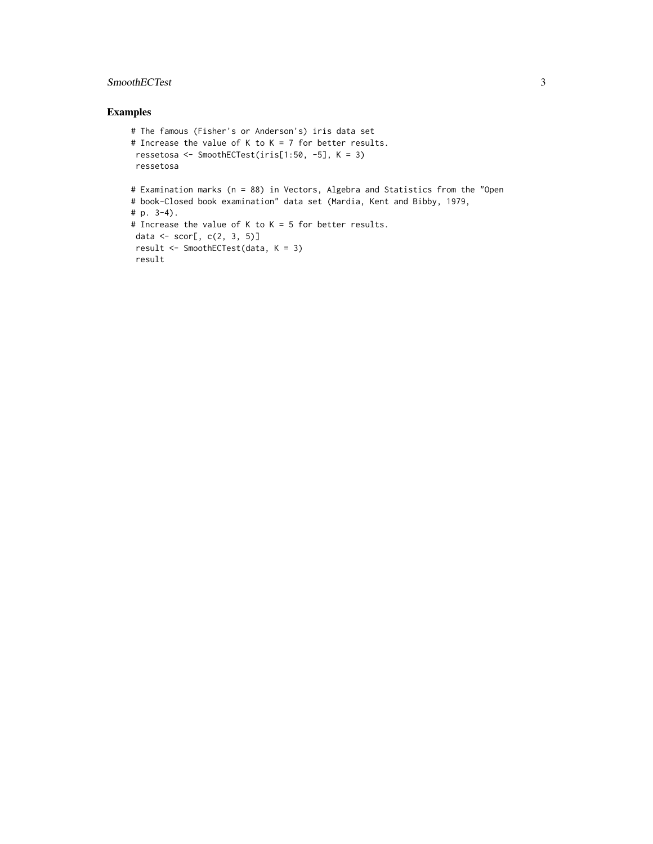#### SmoothECTest 3

#### Examples

```
# The famous (Fisher's or Anderson's) iris data set
# Increase the value of K to K = 7 for better results.
ressetosa <- SmoothECTest(iris[1:50, -5], K = 3)
ressetosa
# Examination marks (n = 88) in Vectors, Algebra and Statistics from the "Open
# book-Closed book examination" data set (Mardia, Kent and Bibby, 1979,
# p. 3-4).
# Increase the value of K to K = 5 for better results.
data \leq scor[, c(2, 3, 5)]
result <- SmoothECTest(data, K = 3)
result
```